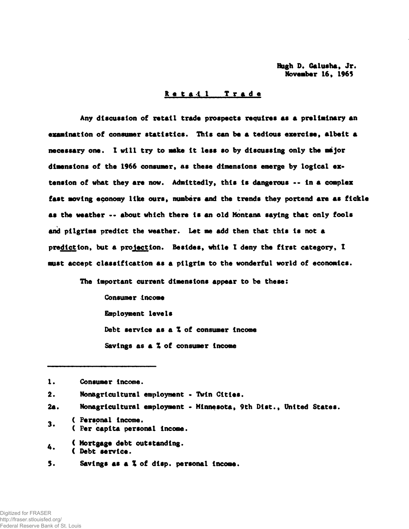Hugh D. Galusha, Jr. November 16, 1965

#### Retail Trade

Any discussion of retail trade prospects requires as a preliminary an examination of consumer statistics. This can he a tedious exercise, albeit a necessary one. I will try to make it less so by discussing only the major dimensions of the 1966 consumer, as these dimensions emerge by logical extension of what they are now. Admittedly, this is dangerous -- in a complex fast moving economy like ours, numbers and the trends they portend are as fickle as the weather •• about which there is an old Montana saying that only fools and pilgrims predict the weather. Let me add then that this is not a prediction, but a projection. Besides, while I deny the first category, I must accept classification as a pilgrim to the wonderful world of economics.

The Important current dimensions appear to be these:

Consumer income Employment levels Debt service as a X of consumer Income Savings as a *%* of consumer Income

- 2a. Nonagrlcultural employment Minnesota, 9th Dist., United States.
- \_ ( Personal income. 3 ( Per capita personal income.
- *.* ( Mortgage debt outstanding. ( Debt service.
- 5. Savings as a Z of disp. personal income.

<sup>1.</sup> Consumer income.

<sup>2.</sup> Non&gricultural employment - Twin Cities.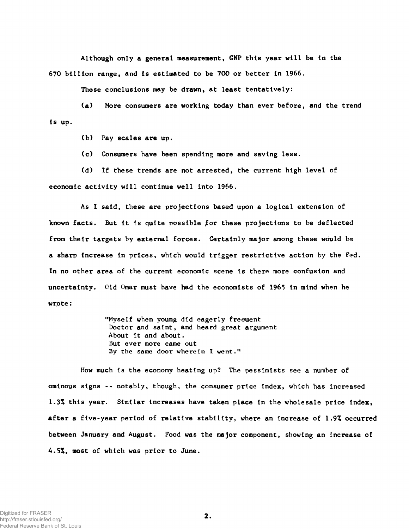Although only a general measurement, GNP this year will be In the 670 billion range, and Is estimated to be 700 or better In 1966.

These conclusions may be drawn, at least tentatively:

(a) More consumers are working today than ever before, and the trend Is up.

(b) Pay scales are up.

(c) Consumers have been spending more and saving less.

(d) If these trends are not arrested, the current high level of economic activity will continue well Into 1966.

As I said, these are projections based upon a logical extension of known facts. But it is quite possible for these projections to be deflected from their targets by external forces. Certainly major among these would be a sharp Increase In prices, which would trigger restrictive action by the Fed. In no other area of the current economic scene Is there more confusion and uncertainty. Old Omar must have had the economists of 1965 In mind when he wrote:

> "Myself when young did eagerly freouent Doctor and saint, and heard great argument About It and about. But ever more came out By the same door wherein I went."

How much is the economy heating up? The pessimists see a number of ominous signs -- notably, though, the consumer price index, which has increased 1.3Z this year. Similar Increases have taken place In the wholesale price index, after a five-year period of relative stability, where an Increase of 1.9% occurred between January and August. Food was the major component, showing an Increase of 4.5Z, most of which was prior to June.

 $2.$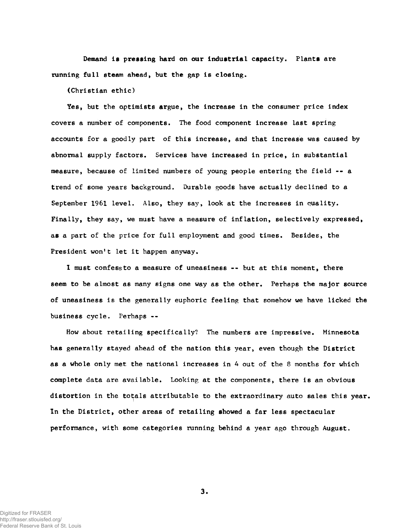Demand is pressing hard on our Industrial capacity. Plants are running full steam ahead, but the gap is closing.

(Christian ethic)

Yes, but the aptimists argue, the increase in the consumer price index covers a number of components. The food component increase last spring accounts for a goodly part of this increase, and that increase was caused by abnormal supply factors. Services have increased in price, in substantial measure, because of limited numbers of young people entering the field -- a trend of some years background. Durable goods have actually declined to a September 1961 level. Also, they say, look at the increases in quality. Finally, they say, we must have a measure of inflation, selectively expressed, as a part of the price for full employment and good times. Besides, the President won't let it happen anyway.

1 must confess to a measure of uneasiness -- but at this moment, there seem to be almost as many signs one way as the other. Perhaps the major source of uneasiness is the generally euphoric feeling that somehow we have licked the business cycle. Perhaps --

How about retailing specifically? The numbers are impressive. Minnesota has generally stayed ahead of the nation this year, even though the District as a whole only met the national increases in  $4$  out of the 8 months for which complete data are available. Looking at the components, there is an obvious distortion in the totals attributable to the extraordinary auto sales this year. In the District, other areas of retailing showed a far less spectacular performance, with some categories running behind a year ago through August.,

Digitized for FRASER http://fraser.stlouisfed.org/ Federal Reserve Bank of St. Louis  $3.$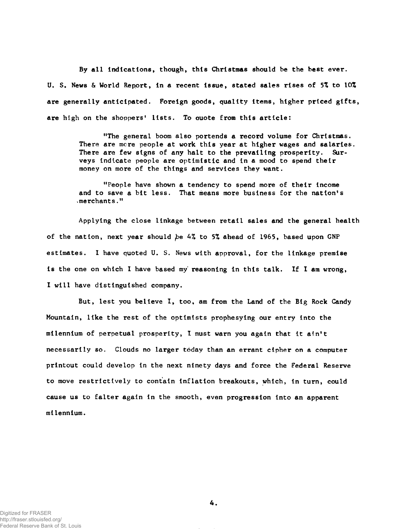By all Indications, though, this Christmas should be the best ever. U. S. News & World Report, in a recent issue, stated sales rises of *5%* to 10% are generally anticipated. Foreign goods, quality items, higher priced gifts, are high on the shoppers' lists. To auote from this article:

> "The general boom also portends a record volume for Christmas. There are more people at work this year at higher wages and salaries. There are few signs of any halt to the prevailing prosperity. Surveys indicate people are optimistic and in a mood to spend their money on more of the things and services they want.

"People have shown a tendency to spend more of their income and to save a bit less. That means more business for the nation's -merchants."

Applying the close linkage between retail sales and the general health of the nation, next year should be 4% to 5% ahead of 1965, based upon GNP estimates. I have quoted U. S. News with approval, for the linkage premise is the one on which I have based my' reasoning in this talk. If I am wrong, I will have distinguished company.

But, lest you believe I, too, am from the Land of the Big Rock Candy Mountain, like the rest of the optimists prophesying our entry into the milennium of perpetual prosperity, I must warn you again that it ain't necessarily so. Clouds no larger today than an errant cipher on a computer printout could develop in the next ninety days and force the Federal Reserve to move restrictively to contain inflation breakouts, which, in turn, could cause us to falter again in the smooth, even progression into an apparent milennium.

Digitized for FRASER http://fraser.stlouisfed.org/ Federal Reserve Bank of St. Louis 4.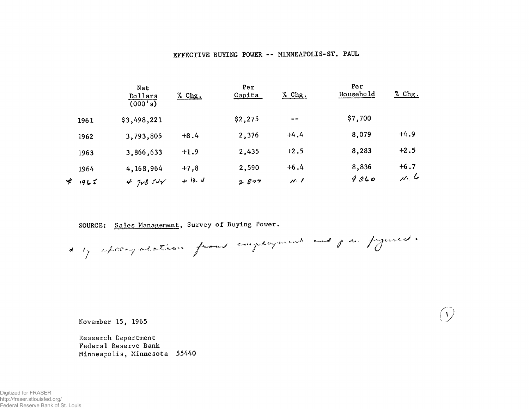### EFFECTIVE BUYING POWER -- MINNEAPOLIS-ST. PAUL

|      | Net<br>Dollars<br>$(000 \, \text{ s})$ | <u>% Chg.</u> | Per<br>Capita | $%$ Chg. | Per<br>Household | $%$ Chg. |
|------|----------------------------------------|---------------|---------------|----------|------------------|----------|
| 1961 | \$3,498,221                            |               | \$2,275       | $- -$    | \$7,700          |          |
| 1962 | 3,793,805                              | $+8.4$        | 2,376         | $+4.4$   | 8,079            | $+4.9$   |
| 1963 | 3,866,633                              | $+1.9$        | 2,435         | $+2.5$   | 8,283            | $+2.5$   |
| 1964 | 4,168,964                              | $+7,8$        | 2,590         | $+6.4$   | 8,836            | $+6.7$   |
| 1965 | $4$ $728$ $54\sqrt{ }$                 | $+$ 13. $d$   | 2827          | 11.1     | 9860             | $\mu, b$ |

SOURCE: Sales Management, Survey of Buying Power.

*t in the Time from from energy mean and find //* / > /

 $\mathcal{A}$ 

November 15, 1965

Research Department Federal Reserve Bank Minneapolis, Minnesota 55440

Digitized for FRASER http://fraser.stlouisfed.org/ Federal Reserve Bank of St. Louis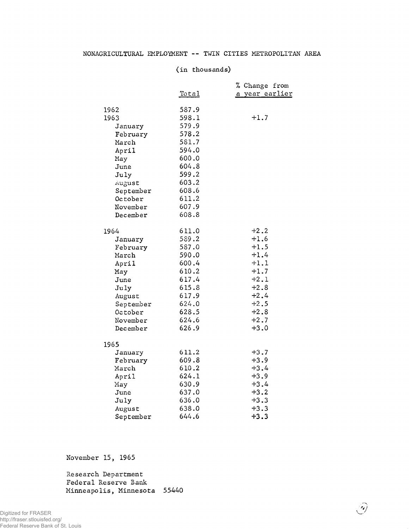### NONAGRICULTURAL EMPLOYMENT -- TWIN CITIES METROPOLITAN AREA

#### (in thousands)

|             |              | % Change from  |
|-------------|--------------|----------------|
|             | <u>Total</u> | a year earlier |
|             |              |                |
| 1962        | 587.9        |                |
| 1963        | 598.1        | $+1.7$         |
| January     | 579.9        |                |
| February    | 578.2        |                |
| March       | 581.7        |                |
| April       | 594.0        |                |
|             | 600.0        |                |
| May<br>June | 604.8        |                |
|             | 599.2        |                |
| July        | 603.2        |                |
| August      |              |                |
| September   | 608.6        |                |
| October     | 611.2        |                |
| November    | 607.9        |                |
| December    | 608.8        |                |
|             | 611.0        | $+2.2$         |
| 1964        | 589.2        | $+1.6$         |
| January     |              | $+1.5$         |
| February    | 587.0        |                |
| March       | 590.0        | $+1.4$         |
| April       | 600.4        | $+1.1$         |
| May         | 610.2        | $+1.7$         |
| June        | 617.4        | $+2.1$         |
| July        | 615.8        | $+2.8$         |
| August      | 617.9        | $+2.4$         |
| September   | 624.0        | $+2.5$         |
| October     | 628.5        | $+2.8$         |
| November    | 624.6        | $+2.7$         |
| December    | 626.9        | $+3.0$         |
|             |              |                |
| 1965        |              |                |
| January     | 611.2        | $+3.7$         |
| February    | 609.8        | $+3.9$         |
| March       | 610.2        | $+3.4$         |
| April       | 624.1        | $+3.9$         |
| May         | 630.9        | $+3.4$         |
| June        | 637.0        | $+3.2$         |
| July        | 636.0        | $+3.3$         |
| August      | 638.0        | $+3.3$         |
| September   | 644.6        | $+3.3$         |

 $\widehat{\mathscr{D}}$ 

November 15, 1965

Research Department Federal Reserve Bank Minneapolis, Minnesota 55440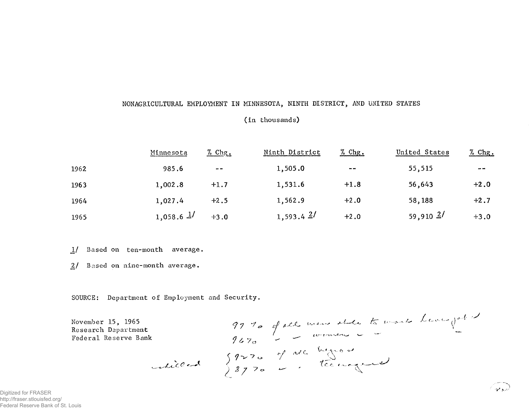# NONAGRICULTURAL EMPLOYMENT IN MINNESOTA, NINTH DISTRICT, AND UNITED STATES

#### (in thousands)

|      | Minnesota      | $%$ Chg.                    | Ninth District | $%$ Chg.      | United States | $%$ Chg.      |
|------|----------------|-----------------------------|----------------|---------------|---------------|---------------|
| 1962 | 985.6          | $\rightarrow$ $\rightarrow$ | 1,505.0        | $\sim$ $\sim$ | 55,515        | $\sim$ $\sim$ |
| 1963 | 1,002.8        | $+1.7$                      | 1,531.6        | $+1.8$        | 56,643        | $+2.0$        |
| 1964 | 1,027.4        | $+2.5$                      | 1,562.9        | $+2.0$        | 58,188        | $+2.7$        |
| 1965 | $1,058.6$ $1/$ | $+3.0$                      | 1,593.4 $2/$   | $+2.0$        | $59,910$ $2/$ | $+3.0$        |

Based on ten-month average.  $1/$ 

Based on nine-month average.  $2/$ 

SOURCE: Department of Employment and Security.

t 9770 of all mens etale to mars heavyated<br>9670 - Tommen C -<br>Celilled 8970 - Technological November 15, 1965 Research Department Federal Reserve Bank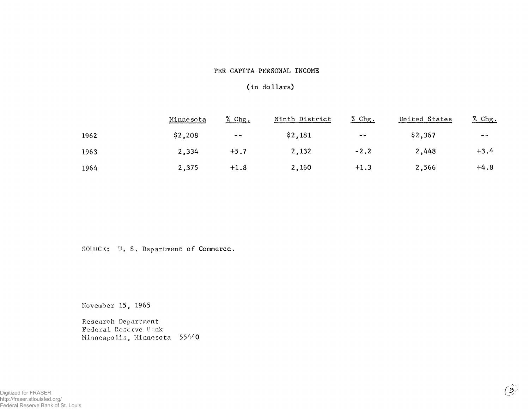# PER CAPITA PERSONAL INCOME

### (in dollars)

|      | Minnesota | $%$ Chg.      | Ninth District | $%$ Chg.      | United States | $%$ Chg. |
|------|-----------|---------------|----------------|---------------|---------------|----------|
| 1962 | \$2,208   | $\sim$ $\sim$ | \$2,181        | $\sim$ $\sim$ | \$2,367       | $-$      |
| 1963 | 2,334     | $+5.7$        | 2,132          | $-2.2$        | 2,448         | $+3.4$   |
| 1964 | 2,375     | $+1.8$        | 2,160          | $+1.3$        | 2,566         | $+4.8$   |

SOURCE: U. S. Department of Commerce.

November 15, 1965

Research Department Federal Reserve Bunk Minneapolis, Minnesota 55440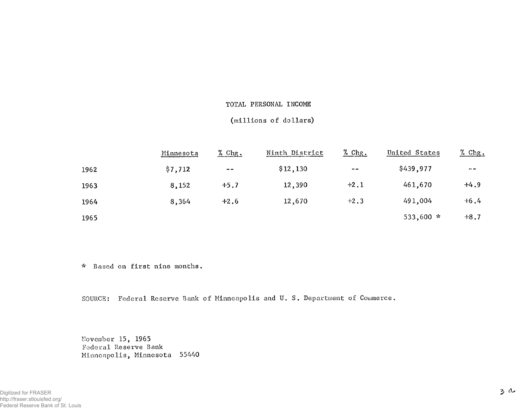#### TOTAL PERSONAL INCOME

# (millions of dollars)

|      | Minnesota | $%$ Chg. | Ninth District | $\frac{\% \text{ Chg}}{\ }$ | United States | <u>% Chg.</u> |
|------|-----------|----------|----------------|-----------------------------|---------------|---------------|
| 1962 | \$7,712   | $- -$    | \$12,130       | $\sim$ $\sim$               | \$439,977     | $- -$         |
| 1963 | 8,152     | $+5.7$   | 12,390         | $+2.1$                      | 461,670       | $+4.9$        |
| 1964 | 8,364     | $+2.6$   | 12,670         | $+2.3$                      | 491,004       | $+6.4$        |
| 1965 |           |          |                |                             | 533,600 *     | $+8.7$        |

\* Based on first nine months.

SOURCE: Federal Reserve Bank of Minneapolis and U. S. Department of Commerce.

November 15, 1965 Federal Reserve Bank Minneapolis, Minnesota 55440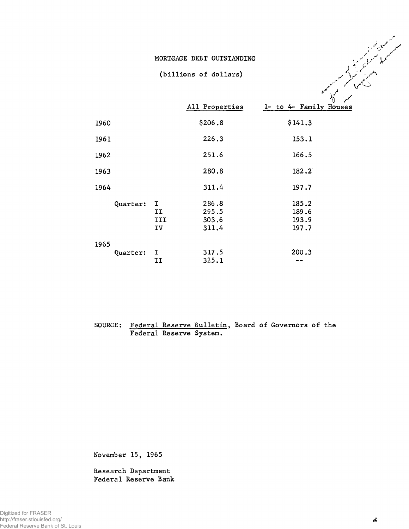#### MORTGAGE DEBT OUTSTANDING

#### (billions of dollars)

|          |                      | All Properties                   | V<br>$\sqrt{ }$<br>1- to 4- Family Houses |
|----------|----------------------|----------------------------------|-------------------------------------------|
| 1960     |                      | \$206.8                          | \$141.3                                   |
| 1961     |                      | 226.3                            | 153.1                                     |
| 1962     |                      | 251.6                            | 166.5                                     |
| 1963     |                      | 280.8                            | 182.2                                     |
| 1964     |                      | 311.4                            | 197.7                                     |
| Quarter: | I<br>IJ<br>III<br>IV | 286.8<br>295.5<br>303.6<br>311.4 | 185.2<br>189.6<br>193.9<br>197.7          |
| 1965     |                      |                                  |                                           |
| Quarter: | I<br>II              | 317.5<br>325.1                   | 200.3                                     |

# SOURCE: Federal Reserve Bulletin, Board of Governors of the Federal Reserve System.

November 15, 1965

Research Department Federal Reserve Bank **/ ■'V**

صمعملی کر<br>کسمهما سمویکر<br>اینس پیم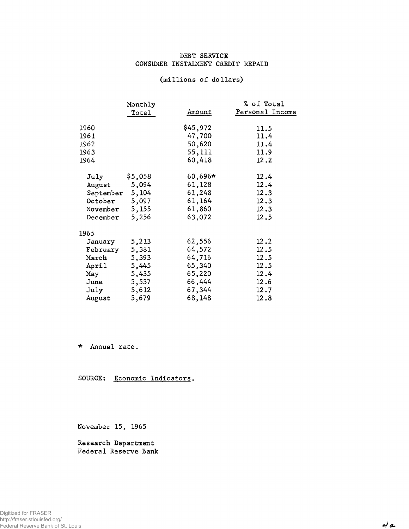### DEBT SERVICE CONSUMER INSTALMENT CREDIT REPAID

|           | Monthly |               | % of Total      |
|-----------|---------|---------------|-----------------|
|           | Total   | <u>Amount</u> | Personal Income |
| 1960      |         | \$45,972      | 11.5            |
| 1961      |         | 47,700        | 11.4            |
| 1962      |         | 50,620        | 11.4            |
| 1963      |         | 55,111        | 11.9            |
| 1964      |         | 60,418        | 12.2            |
| July      | \$5,058 | $60,696*$     | 12.4            |
| August    | 5,094   | 61,128        | 12.4            |
| September | 5,104   | 61,248        | 12.3            |
| October   | 5,097   | 61,164        | 12.3            |
| November  | 5,155   | 61,860        | 12, 3           |
| December  | 5,256   | 63,072        | 12.5            |
| 1965      |         |               |                 |
| January   | 5,213   | 62,556        | 12.2            |
| February  | 5,381   | 64,572        | 12.5            |
| March     | 5,393   | 64,716        | 12.5            |
| April     | 5,445   | 65,340        | 12.5            |
| May       | 5,435   | 65,220        | 12.4            |
| June      | 5,537   | 66,444        | 12.6            |
| July      | 5,612   | 67,344        | 12.7            |
| August    | 5,679   | 68,148        | 12.8            |

\* Annual rate.

SOURCE: Economic Indicators.

November 15, 1965

Research Department Federal Reserve Bank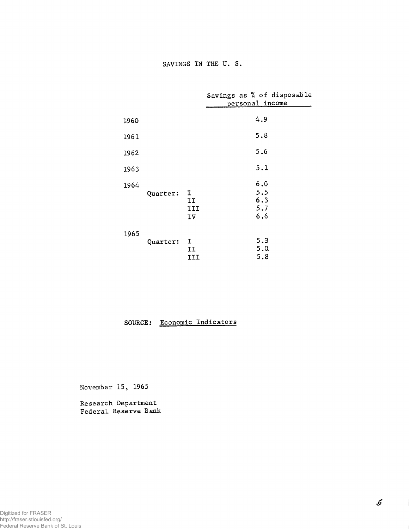|      |          |                      | Savings as % of disposable<br>personal income |
|------|----------|----------------------|-----------------------------------------------|
| 1960 |          |                      | 4.9                                           |
| 1961 |          |                      | 5.8                                           |
| 1962 |          |                      | 5.6                                           |
| 1963 |          |                      | 5.1                                           |
| 1964 | Quarter: | I<br>IJ<br>III<br>IV | 6.0<br>5.5<br>6.3<br>5.7<br>6.6               |
| 1965 | Quarter: | I<br>II<br>III       | 5.3<br>5.0.<br>5.8                            |

# SOURCE: Economic Indicators

November 15, 1965

Research Department Federal Reserve Bank